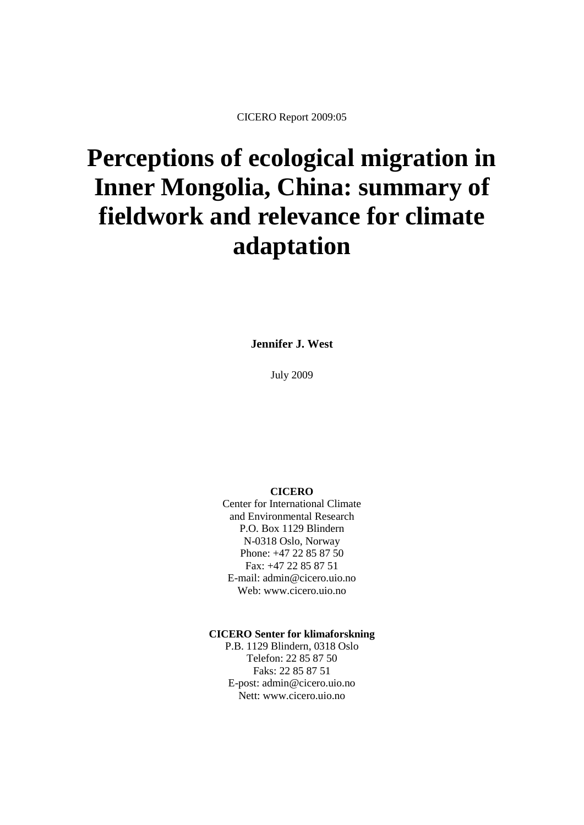# **Perceptions of ecological migration in Inner Mongolia, China: summary of fieldwork and relevance for climate adaptation**

**Jennifer J. West**

July 2009

#### **CICERO**

Center for International Climate and Environmental Research P.O. Box 1129 Blindern N-0318 Oslo, Norway Phone: +47 22 85 87 50 Fax: +47 22 85 87 51 E-mail: admin@cicero.uio.no Web: www.cicero.uio.no

#### **CICERO Senter for klimaforskning**

P.B. 1129 Blindern, 0318 Oslo Telefon: 22 85 87 50 Faks: 22 85 87 51 E-post: admin@cicero.uio.no Nett: www.cicero.uio.no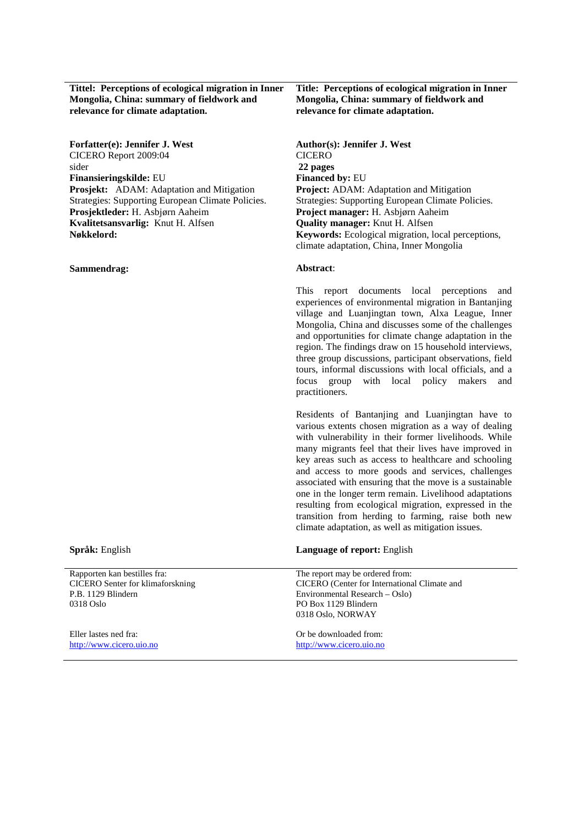**Tittel: Perceptions of ecological migration in Inner Mongolia, China: summary of fieldwork and relevance for climate adaptation.**

**Forfatter(e): Jennifer J. West Author(s): Jennifer J. West** CICERO Report 2009:04 sider **Finansieringskilde:** EU **Financed by: EU Prosjekt:** ADAM: Adaptation and Mitigation Strategies: Supporting European Climate Policies. **Prosjektleder:** H. Asbjørn Aaheim **Project manager:** H. Asbjørn Aaheim **Kvalitetsansvarlig:** Knut H. Alfsen **Quality manager:** Knut H. Alfsen

**Sammendrag:**

Rapporten kan bestilles fra: CICERO Senter for klimaforskning P.B. 1129 Blindern 0318 Oslo

Eller lastes ned fra: [http://www.cicero.uio.no](http://www.cicero.uio.no/) **Title: Perceptions of ecological migration in Inner Mongolia, China: summary of fieldwork and relevance for climate adaptation.**

**CICERO 22 pages Project:** ADAM: Adaptation and Mitigation Strategies: Supporting European Climate Policies. **Nøkkelord: Keywords:** Ecological migration, local perceptions, climate adaptation, China, Inner Mongolia

#### **Abstract**:

This report documents local perceptions and experiences of environmental migration in Bantanjing village and Luanjingtan town, Alxa League, Inner Mongolia, China and discusses some of the challenges and opportunities for climate change adaptation in the region. The findings draw on 15 household interviews, three group discussions, participant observations, field tours, informal discussions with local officials, and a focus group with local policy makers and practitioners.

Residents of Bantanjing and Luanjingtan have to various extents chosen migration as a way of dealing with vulnerability in their former livelihoods. While many migrants feel that their lives have improved in key areas such as access to healthcare and schooling and access to more goods and services, challenges associated with ensuring that the move is a sustainable one in the longer term remain. Livelihood adaptations resulting from ecological migration, expressed in the transition from herding to farming, raise both new climate adaptation, as well as mitigation issues.

#### **Språk:** English **Language of report:** English

| The report may be ordered from:              |
|----------------------------------------------|
| CICERO (Center for International Climate and |
| Environmental Research – Oslo)               |
| PO Box 1129 Blindern                         |
| 0318 Oslo, NORWAY                            |
|                                              |

Or be downloaded from: [http://www.cicero.uio.no](http://www.cicero.uio.no/)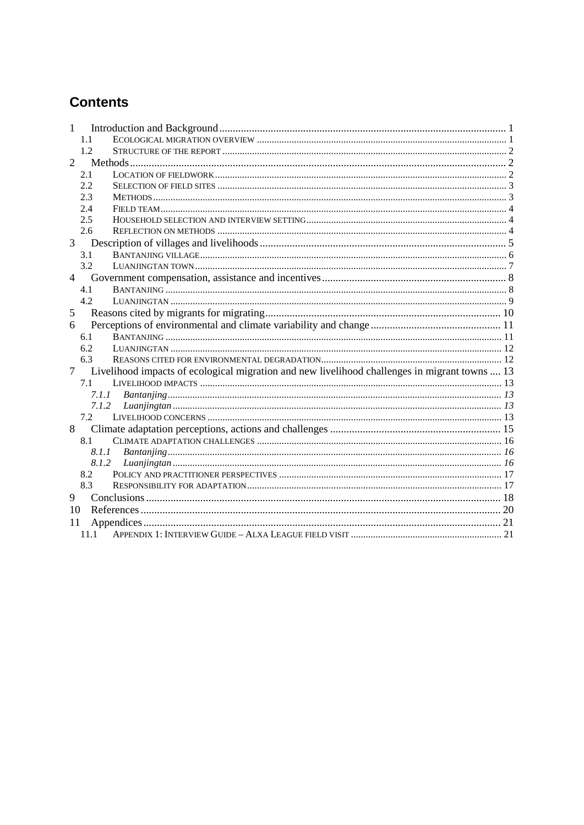# **Contents**

| 1              |                                                                                               |  |
|----------------|-----------------------------------------------------------------------------------------------|--|
|                | 1.1                                                                                           |  |
|                | 12                                                                                            |  |
| $\overline{2}$ |                                                                                               |  |
|                | 2.1                                                                                           |  |
|                | 2.2                                                                                           |  |
|                | 2.3                                                                                           |  |
|                | 2.4                                                                                           |  |
|                | 2.5                                                                                           |  |
|                | 2.6                                                                                           |  |
| $\overline{3}$ |                                                                                               |  |
|                | 3.1                                                                                           |  |
|                | 3.2                                                                                           |  |
| $4 \quad$      |                                                                                               |  |
|                | 4.1                                                                                           |  |
|                | 4.2                                                                                           |  |
| 5              |                                                                                               |  |
| 6              |                                                                                               |  |
|                | 6.1                                                                                           |  |
|                | 6.2                                                                                           |  |
|                | 6.3                                                                                           |  |
| $\overline{7}$ | Livelihood impacts of ecological migration and new livelihood challenges in migrant towns  13 |  |
|                | 7.1                                                                                           |  |
|                | 7.1.1                                                                                         |  |
|                |                                                                                               |  |
|                | 7.2                                                                                           |  |
| 8              |                                                                                               |  |
|                | 8.1                                                                                           |  |
|                | 8.1.1                                                                                         |  |
|                | 8.1.2                                                                                         |  |
|                | 8.2                                                                                           |  |
|                | 8.3                                                                                           |  |
| 9              |                                                                                               |  |
| 10             |                                                                                               |  |
| 11             |                                                                                               |  |
|                | $11.1 -$                                                                                      |  |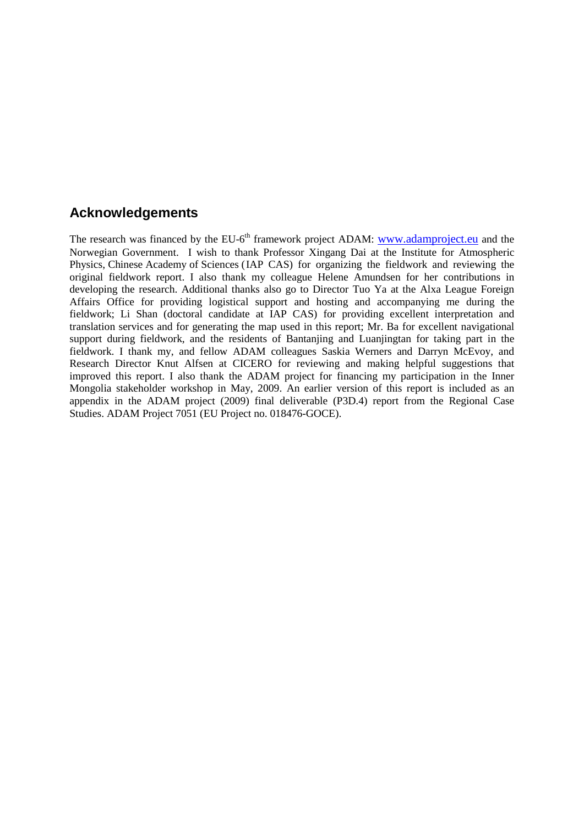#### **Acknowledgements**

The research was financed by the EU-6<sup>th</sup> framework project ADAM: [www.adamproject.eu](http://www.adamproject.eu/) and the Norwegian Government. I wish to thank Professor Xingang Dai at the Institute for Atmospheric Physics, Chinese Academy of Sciences (IAP CAS) for organizing the fieldwork and reviewing the original fieldwork report. I also thank my colleague Helene Amundsen for her contributions in developing the research. Additional thanks also go to Director Tuo Ya at the Alxa League Foreign Affairs Office for providing logistical support and hosting and accompanying me during the fieldwork; Li Shan (doctoral candidate at IAP CAS) for providing excellent interpretation and translation services and for generating the map used in this report; Mr. Ba for excellent navigational support during fieldwork, and the residents of Bantanjing and Luanjingtan for taking part in the fieldwork. I thank my, and fellow ADAM colleagues Saskia Werners and Darryn McEvoy, and Research Director Knut Alfsen at CICERO for reviewing and making helpful suggestions that improved this report. I also thank the ADAM project for financing my participation in the Inner Mongolia stakeholder workshop in May, 2009. An earlier version of this report is included as an appendix in the ADAM project (2009) final deliverable (P3D.4) report from the Regional Case Studies. ADAM Project 7051 (EU Project no. 018476-GOCE).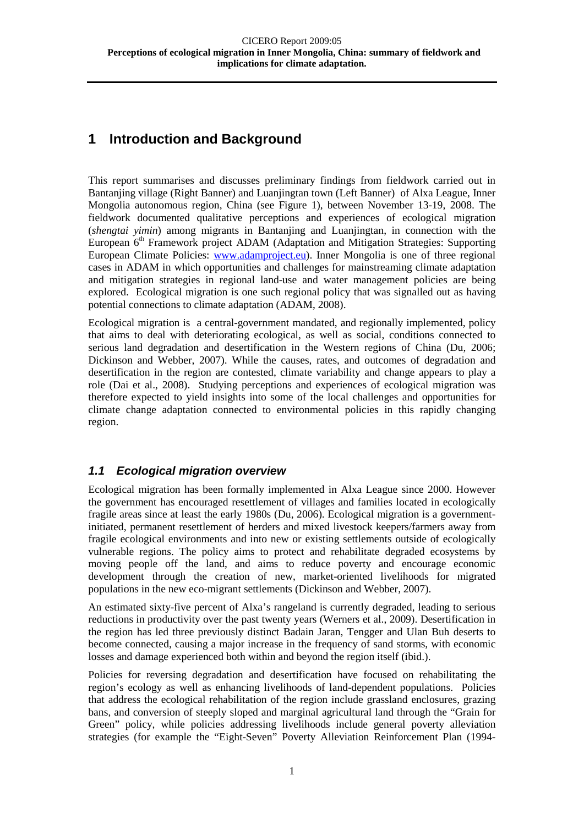# <span id="page-4-0"></span>**1 Introduction and Background**

This report summarises and discusses preliminary findings from fieldwork carried out in Bantanjing village (Right Banner) and Luanjingtan town (Left Banner) of Alxa League, Inner Mongolia autonomous region, China (see Figure 1), between November 13-19, 2008. The fieldwork documented qualitative perceptions and experiences of ecological migration (*shengtai yimin*) among migrants in Bantanjing and Luanjingtan, in connection with the European 6<sup>th</sup> Framework project ADAM (Adaptation and Mitigation Strategies: Supporting European Climate Policies: [www.adamproject.eu\)](http://www.adamproject.eu/). Inner Mongolia is one of three regional cases in ADAM in which opportunities and challenges for mainstreaming climate adaptation and mitigation strategies in regional land-use and water management policies are being explored. Ecological migration is one such regional policy that was signalled out as having potential connections to climate adaptation (ADAM, 2008).

Ecological migration is a central-government mandated, and regionally implemented, policy that aims to deal with deteriorating ecological, as well as social, conditions connected to serious land degradation and desertification in the Western regions of China (Du, 2006; Dickinson and Webber, 2007). While the causes, rates, and outcomes of degradation and desertification in the region are contested, climate variability and change appears to play a role (Dai et al., 2008). Studying perceptions and experiences of ecological migration was therefore expected to yield insights into some of the local challenges and opportunities for climate change adaptation connected to environmental policies in this rapidly changing region.

#### <span id="page-4-1"></span>*1.1 Ecological migration overview*

Ecological migration has been formally implemented in Alxa League since 2000. However the government has encouraged resettlement of villages and families located in ecologically fragile areas since at least the early 1980s (Du, 2006). Ecological migration is a governmentinitiated, permanent resettlement of herders and mixed livestock keepers/farmers away from fragile ecological environments and into new or existing settlements outside of ecologically vulnerable regions. The policy aims to protect and rehabilitate degraded ecosystems by moving people off the land, and aims to reduce poverty and encourage economic development through the creation of new, market-oriented livelihoods for migrated populations in the new eco-migrant settlements (Dickinson and Webber, 2007).

An estimated sixty-five percent of Alxa's rangeland is currently degraded, leading to serious reductions in productivity over the past twenty years (Werners et al., 2009). Desertification in the region has led three previously distinct Badain Jaran, Tengger and Ulan Buh deserts to become connected, causing a major increase in the frequency of sand storms, with economic losses and damage experienced both within and beyond the region itself (ibid.).

Policies for reversing degradation and desertification have focused on rehabilitating the region's ecology as well as enhancing livelihoods of land-dependent populations. Policies that address the ecological rehabilitation of the region include grassland enclosures, grazing bans, and conversion of steeply sloped and marginal agricultural land through the "Grain for Green" policy, while policies addressing livelihoods include general poverty alleviation strategies (for example the "Eight-Seven" Poverty Alleviation Reinforcement Plan (1994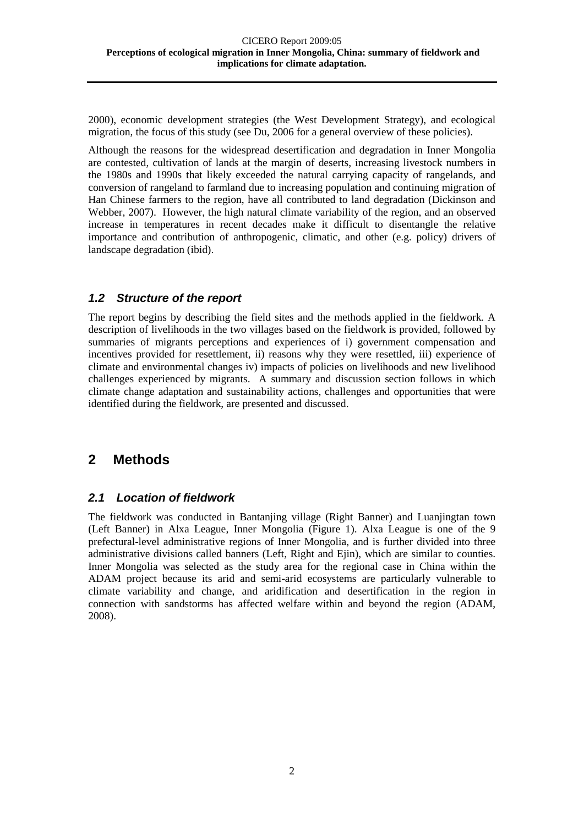2000), economic development strategies (the West Development Strategy), and ecological migration, the focus of this study (see Du, 2006 for a general overview of these policies).

Although the reasons for the widespread desertification and degradation in Inner Mongolia are contested, cultivation of lands at the margin of deserts, increasing livestock numbers in the 1980s and 1990s that likely exceeded the natural carrying capacity of rangelands, and conversion of rangeland to farmland due to increasing population and continuing migration of Han Chinese farmers to the region, have all contributed to land degradation (Dickinson and Webber, 2007). However, the high natural climate variability of the region, and an observed increase in temperatures in recent decades make it difficult to disentangle the relative importance and contribution of anthropogenic, climatic, and other (e.g. policy) drivers of landscape degradation (ibid).

#### <span id="page-5-0"></span>*1.2 Structure of the report*

The report begins by describing the field sites and the methods applied in the fieldwork. A description of livelihoods in the two villages based on the fieldwork is provided, followed by summaries of migrants perceptions and experiences of i) government compensation and incentives provided for resettlement, ii) reasons why they were resettled, iii) experience of climate and environmental changes iv) impacts of policies on livelihoods and new livelihood challenges experienced by migrants. A summary and discussion section follows in which climate change adaptation and sustainability actions, challenges and opportunities that were identified during the fieldwork, are presented and discussed.

# <span id="page-5-1"></span>**2 Methods**

#### <span id="page-5-2"></span>*2.1 Location of fieldwork*

The fieldwork was conducted in Bantanjing village (Right Banner) and Luanjingtan town (Left Banner) in Alxa League, Inner Mongolia (Figure 1). Alxa League is one of the 9 prefectural-level administrative regions of Inner Mongolia, and is further divided into three administrative divisions called banners (Left, Right and Ejin), which are similar to counties. Inner Mongolia was selected as the study area for the regional case in China within the ADAM project because its arid and semi-arid ecosystems are particularly vulnerable to climate variability and change, and aridification and desertification in the region in connection with sandstorms has affected welfare within and beyond the region (ADAM, 2008).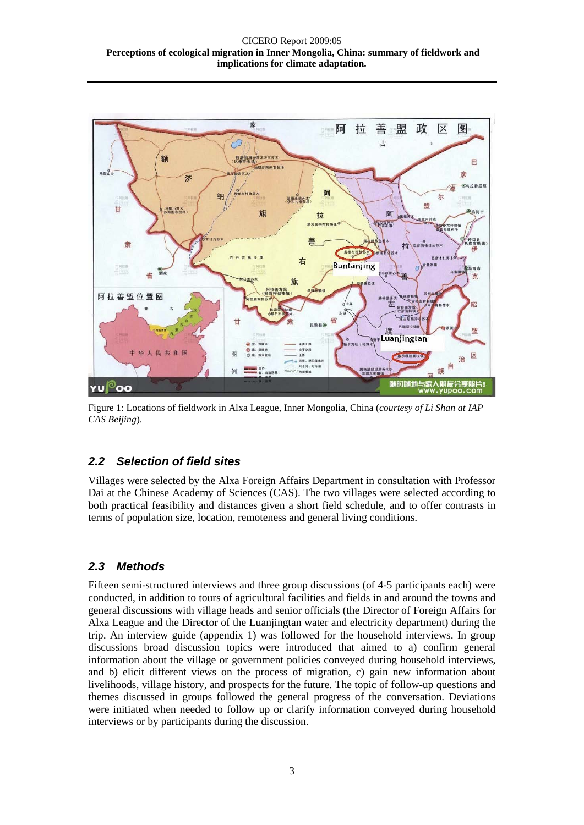

Figure 1: Locations of fieldwork in Alxa League, Inner Mongolia, China (*courtesy of Li Shan at IAP CAS Beijing*).

#### <span id="page-6-0"></span>*2.2 Selection of field sites*

Villages were selected by the Alxa Foreign Affairs Department in consultation with Professor Dai at the Chinese Academy of Sciences (CAS). The two villages were selected according to both practical feasibility and distances given a short field schedule, and to offer contrasts in terms of population size, location, remoteness and general living conditions.

## <span id="page-6-1"></span>*2.3 Methods*

Fifteen semi-structured interviews and three group discussions (of 4-5 participants each) were conducted, in addition to tours of agricultural facilities and fields in and around the towns and general discussions with village heads and senior officials (the Director of Foreign Affairs for Alxa League and the Director of the Luanjingtan water and electricity department) during the trip. An interview guide (appendix 1) was followed for the household interviews. In group discussions broad discussion topics were introduced that aimed to a) confirm general information about the village or government policies conveyed during household interviews, and b) elicit different views on the process of migration, c) gain new information about livelihoods, village history, and prospects for the future. The topic of follow-up questions and themes discussed in groups followed the general progress of the conversation. Deviations were initiated when needed to follow up or clarify information conveyed during household interviews or by participants during the discussion.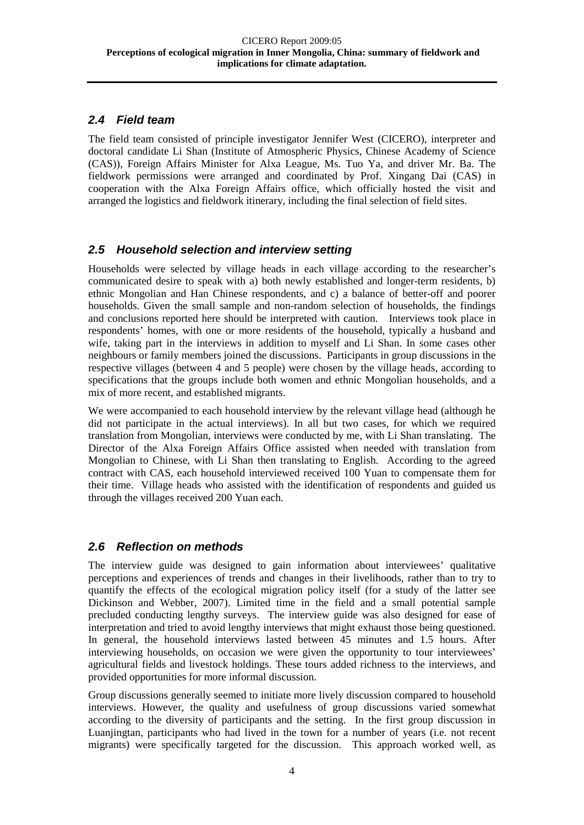#### <span id="page-7-0"></span>*2.4 Field team*

The field team consisted of principle investigator Jennifer West (CICERO), interpreter and doctoral candidate Li Shan (Institute of Atmospheric Physics, Chinese Academy of Science (CAS)), Foreign Affairs Minister for Alxa League, Ms. Tuo Ya, and driver Mr. Ba. The fieldwork permissions were arranged and coordinated by Prof. Xingang Dai (CAS) in cooperation with the Alxa Foreign Affairs office, which officially hosted the visit and arranged the logistics and fieldwork itinerary, including the final selection of field sites.

#### <span id="page-7-1"></span>*2.5 Household selection and interview setting*

Households were selected by village heads in each village according to the researcher's communicated desire to speak with a) both newly established and longer-term residents, b) ethnic Mongolian and Han Chinese respondents, and c) a balance of better-off and poorer households. Given the small sample and non-random selection of households, the findings and conclusions reported here should be interpreted with caution. Interviews took place in respondents' homes, with one or more residents of the household, typically a husband and wife, taking part in the interviews in addition to myself and Li Shan. In some cases other neighbours or family members joined the discussions. Participants in group discussions in the respective villages (between 4 and 5 people) were chosen by the village heads, according to specifications that the groups include both women and ethnic Mongolian households, and a mix of more recent, and established migrants.

We were accompanied to each household interview by the relevant village head (although he did not participate in the actual interviews). In all but two cases, for which we required translation from Mongolian, interviews were conducted by me, with Li Shan translating. The Director of the Alxa Foreign Affairs Office assisted when needed with translation from Mongolian to Chinese, with Li Shan then translating to English. According to the agreed contract with CAS, each household interviewed received 100 Yuan to compensate them for their time. Village heads who assisted with the identification of respondents and guided us through the villages received 200 Yuan each.

## <span id="page-7-2"></span>*2.6 Reflection on methods*

The interview guide was designed to gain information about interviewees' qualitative perceptions and experiences of trends and changes in their livelihoods, rather than to try to quantify the effects of the ecological migration policy itself (for a study of the latter see Dickinson and Webber, 2007). Limited time in the field and a small potential sample precluded conducting lengthy surveys. The interview guide was also designed for ease of interpretation and tried to avoid lengthy interviews that might exhaust those being questioned. In general, the household interviews lasted between 45 minutes and 1.5 hours. After interviewing households, on occasion we were given the opportunity to tour interviewees' agricultural fields and livestock holdings. These tours added richness to the interviews, and provided opportunities for more informal discussion.

Group discussions generally seemed to initiate more lively discussion compared to household interviews. However, the quality and usefulness of group discussions varied somewhat according to the diversity of participants and the setting. In the first group discussion in Luanjingtan, participants who had lived in the town for a number of years (i.e. not recent migrants) were specifically targeted for the discussion. This approach worked well, as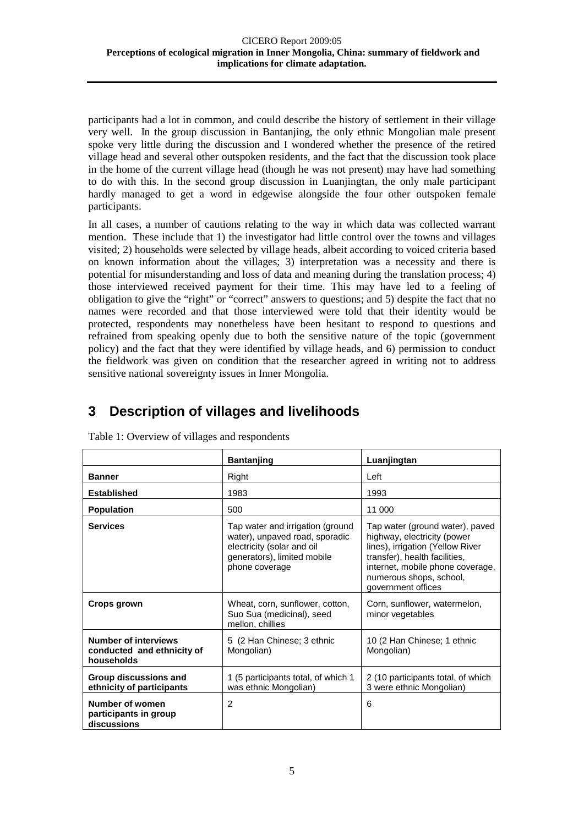participants had a lot in common, and could describe the history of settlement in their village very well. In the group discussion in Bantanjing, the only ethnic Mongolian male present spoke very little during the discussion and I wondered whether the presence of the retired village head and several other outspoken residents, and the fact that the discussion took place in the home of the current village head (though he was not present) may have had something to do with this. In the second group discussion in Luanjingtan, the only male participant hardly managed to get a word in edgewise alongside the four other outspoken female participants.

In all cases, a number of cautions relating to the way in which data was collected warrant mention. These include that 1) the investigator had little control over the towns and villages visited; 2) households were selected by village heads, albeit according to voiced criteria based on known information about the villages; 3) interpretation was a necessity and there is potential for misunderstanding and loss of data and meaning during the translation process; 4) those interviewed received payment for their time. This may have led to a feeling of obligation to give the "right" or "correct" answers to questions; and 5) despite the fact that no names were recorded and that those interviewed were told that their identity would be protected, respondents may nonetheless have been hesitant to respond to questions and refrained from speaking openly due to both the sensitive nature of the topic (government policy) and the fact that they were identified by village heads, and 6) permission to conduct the fieldwork was given on condition that the researcher agreed in writing not to address sensitive national sovereignty issues in Inner Mongolia.

# <span id="page-8-0"></span>**3 Description of villages and livelihoods**

|                                                                         | <b>Bantanjing</b>                                                                                                                                 | Luanjingtan                                                                                                                                                                                                              |  |  |
|-------------------------------------------------------------------------|---------------------------------------------------------------------------------------------------------------------------------------------------|--------------------------------------------------------------------------------------------------------------------------------------------------------------------------------------------------------------------------|--|--|
| <b>Banner</b>                                                           | Right                                                                                                                                             | Left                                                                                                                                                                                                                     |  |  |
| <b>Established</b>                                                      | 1983                                                                                                                                              | 1993                                                                                                                                                                                                                     |  |  |
| <b>Population</b>                                                       | 500                                                                                                                                               | 11 000                                                                                                                                                                                                                   |  |  |
| <b>Services</b>                                                         | Tap water and irrigation (ground<br>water), unpaved road, sporadic<br>electricity (solar and oil<br>generators), limited mobile<br>phone coverage | Tap water (ground water), paved<br>highway, electricity (power<br>lines), irrigation (Yellow River<br>transfer), health facilities,<br>internet, mobile phone coverage,<br>numerous shops, school,<br>government offices |  |  |
| Crops grown                                                             | Wheat, corn, sunflower, cotton,<br>Suo Sua (medicinal), seed<br>mellon, chillies                                                                  | Corn, sunflower, watermelon,<br>minor vegetables                                                                                                                                                                         |  |  |
| <b>Number of interviews</b><br>conducted and ethnicity of<br>households | 5 (2 Han Chinese; 3 ethnic<br>Mongolian)                                                                                                          | 10 (2 Han Chinese; 1 ethnic<br>Mongolian)                                                                                                                                                                                |  |  |
| Group discussions and<br>ethnicity of participants                      | 1 (5 participants total, of which 1<br>was ethnic Mongolian)                                                                                      | 2 (10 participants total, of which<br>3 were ethnic Mongolian)                                                                                                                                                           |  |  |
| Number of women<br>participants in group<br>discussions                 | 2                                                                                                                                                 | 6                                                                                                                                                                                                                        |  |  |

Table 1: Overview of villages and respondents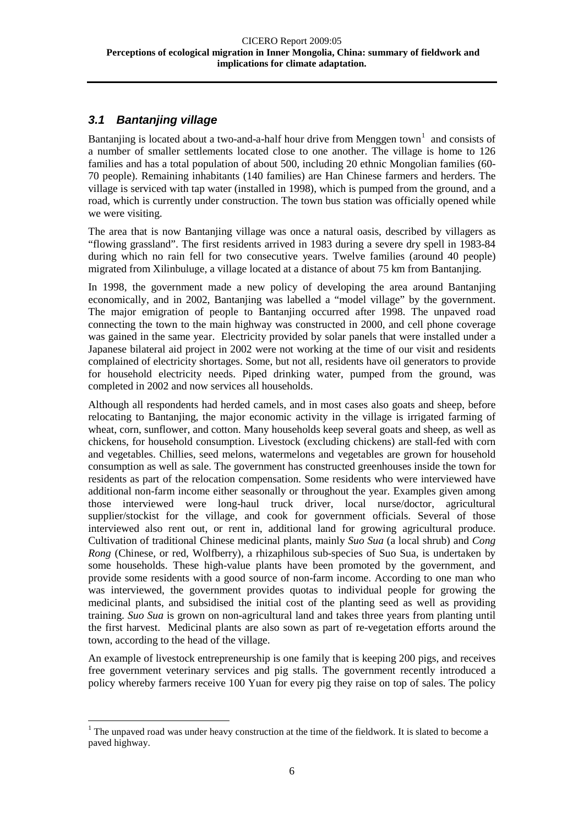#### <span id="page-9-0"></span>*3.1 Bantanjing village*

Bantanjing is located about a two-and-a-half hour drive from Menggen town<sup>[1](#page-9-1)</sup> and consists of a number of smaller settlements located close to one another. The village is home to 126 families and has a total population of about 500, including 20 ethnic Mongolian families (60- 70 people). Remaining inhabitants (140 families) are Han Chinese farmers and herders. The village is serviced with tap water (installed in 1998), which is pumped from the ground, and a road, which is currently under construction. The town bus station was officially opened while we were visiting.

The area that is now Bantanjing village was once a natural oasis, described by villagers as "flowing grassland". The first residents arrived in 1983 during a severe dry spell in 1983-84 during which no rain fell for two consecutive years. Twelve families (around 40 people) migrated from Xilinbuluge, a village located at a distance of about 75 km from Bantanjing.

In 1998, the government made a new policy of developing the area around Bantanjing economically, and in 2002, Bantanjing was labelled a "model village" by the government. The major emigration of people to Bantanjing occurred after 1998. The unpaved road connecting the town to the main highway was constructed in 2000, and cell phone coverage was gained in the same year. Electricity provided by solar panels that were installed under a Japanese bilateral aid project in 2002 were not working at the time of our visit and residents complained of electricity shortages. Some, but not all, residents have oil generators to provide for household electricity needs. Piped drinking water, pumped from the ground, was completed in 2002 and now services all households.

Although all respondents had herded camels, and in most cases also goats and sheep, before relocating to Bantanjing, the major economic activity in the village is irrigated farming of wheat, corn, sunflower, and cotton. Many households keep several goats and sheep, as well as chickens, for household consumption. Livestock (excluding chickens) are stall-fed with corn and vegetables. Chillies, seed melons, watermelons and vegetables are grown for household consumption as well as sale. The government has constructed greenhouses inside the town for residents as part of the relocation compensation. Some residents who were interviewed have additional non-farm income either seasonally or throughout the year. Examples given among those interviewed were long-haul truck driver, local nurse/doctor, agricultural supplier/stockist for the village, and cook for government officials. Several of those interviewed also rent out, or rent in, additional land for growing agricultural produce. Cultivation of traditional Chinese medicinal plants, mainly *Suo Sua* (a local shrub) and *Cong Rong* (Chinese, or red, Wolfberry), a rhizaphilous sub-species of Suo Sua, is undertaken by some households. These high-value plants have been promoted by the government, and provide some residents with a good source of non-farm income. According to one man who was interviewed, the government provides quotas to individual people for growing the medicinal plants, and subsidised the initial cost of the planting seed as well as providing training. *Suo Sua* is grown on non-agricultural land and takes three years from planting until the first harvest. Medicinal plants are also sown as part of re-vegetation efforts around the town, according to the head of the village.

An example of livestock entrepreneurship is one family that is keeping 200 pigs, and receives free government veterinary services and pig stalls. The government recently introduced a policy whereby farmers receive 100 Yuan for every pig they raise on top of sales. The policy

<span id="page-9-1"></span> $<sup>1</sup>$  The unpaved road was under heavy construction at the time of the fieldwork. It is slated to become a</sup> paved highway.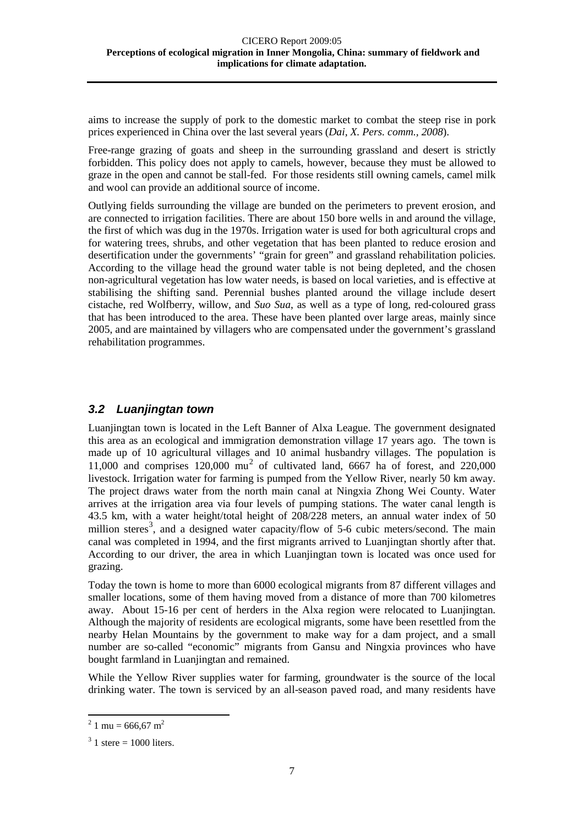aims to increase the supply of pork to the domestic market to combat the steep rise in pork prices experienced in China over the last several years (*Dai, X. Pers. comm., 2008*).

Free-range grazing of goats and sheep in the surrounding grassland and desert is strictly forbidden. This policy does not apply to camels, however, because they must be allowed to graze in the open and cannot be stall-fed. For those residents still owning camels, camel milk and wool can provide an additional source of income.

Outlying fields surrounding the village are bunded on the perimeters to prevent erosion, and are connected to irrigation facilities. There are about 150 bore wells in and around the village, the first of which was dug in the 1970s. Irrigation water is used for both agricultural crops and for watering trees, shrubs, and other vegetation that has been planted to reduce erosion and desertification under the governments' "grain for green" and grassland rehabilitation policies. According to the village head the ground water table is not being depleted, and the chosen non-agricultural vegetation has low water needs, is based on local varieties, and is effective at stabilising the shifting sand. Perennial bushes planted around the village include desert cistache, red Wolfberry, willow, and *Suo Sua*, as well as a type of long, red-coloured grass that has been introduced to the area. These have been planted over large areas, mainly since 2005, and are maintained by villagers who are compensated under the government's grassland rehabilitation programmes.

#### <span id="page-10-0"></span>*3.2 Luanjingtan town*

Luanjingtan town is located in the Left Banner of Alxa League. The government designated this area as an ecological and immigration demonstration village 17 years ago. The town is made up of 10 agricultural villages and 10 animal husbandry villages. The population is 11,000 and comprises  $120,000 \text{ mu}^2$  $120,000 \text{ mu}^2$  $120,000 \text{ mu}^2$  of cultivated land, 6667 ha of forest, and 220,000 livestock. Irrigation water for farming is pumped from the Yellow River, nearly 50 km away. The project draws water from the north main canal at Ningxia Zhong Wei County. Water arrives at the irrigation area via four levels of pumping stations. The water canal length is 43.5 km, with a water height/total height of 208/228 meters, an annual water index of 50 million steres<sup>[3](#page-10-2)</sup>, and a designed water capacity/flow of 5-6 cubic meters/second. The main canal was completed in 1994, and the first migrants arrived to Luanjingtan shortly after that. According to our driver, the area in which Luanjingtan town is located was once used for grazing.

Today the town is home to more than 6000 ecological migrants from 87 different villages and smaller locations, some of them having moved from a distance of more than 700 kilometres away. About 15-16 per cent of herders in the Alxa region were relocated to Luanjingtan. Although the majority of residents are ecological migrants, some have been resettled from the nearby Helan Mountains by the government to make way for a dam project, and a small number are so-called "economic" migrants from Gansu and Ningxia provinces who have bought farmland in Luanjingtan and remained.

While the Yellow River supplies water for farming, groundwater is the source of the local drinking water. The town is serviced by an all-season paved road, and many residents have

<span id="page-10-1"></span> $^{2}$  1 mu = 666,67 m<sup>2</sup>

<span id="page-10-2"></span> $3 \text{ 1}$  stere = 1000 liters.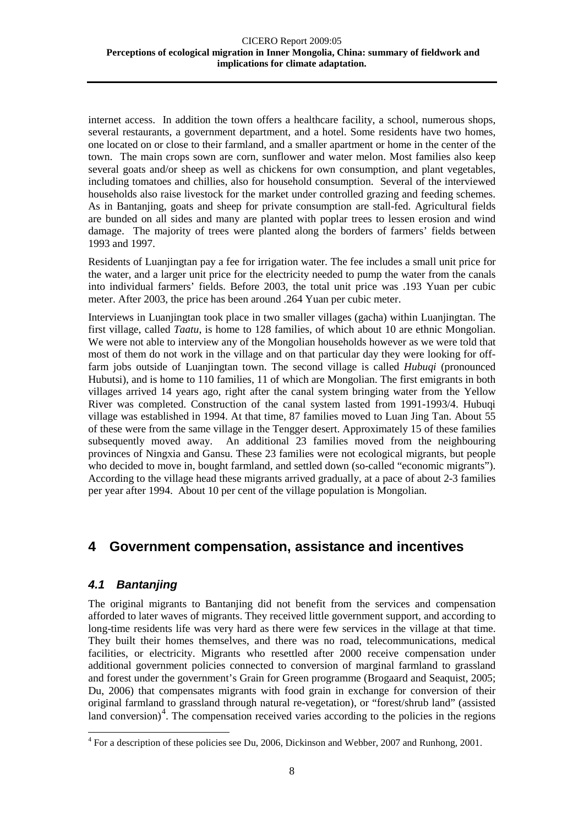internet access. In addition the town offers a healthcare facility, a school, numerous shops, several restaurants, a government department, and a hotel. Some residents have two homes, one located on or close to their farmland, and a smaller apartment or home in the center of the town. The main crops sown are corn, sunflower and water melon. Most families also keep several goats and/or sheep as well as chickens for own consumption, and plant vegetables, including tomatoes and chillies, also for household consumption. Several of the interviewed households also raise livestock for the market under controlled grazing and feeding schemes. As in Bantanjing, goats and sheep for private consumption are stall-fed. Agricultural fields are bunded on all sides and many are planted with poplar trees to lessen erosion and wind damage. The majority of trees were planted along the borders of farmers' fields between 1993 and 1997.

Residents of Luanjingtan pay a fee for irrigation water. The fee includes a small unit price for the water, and a larger unit price for the electricity needed to pump the water from the canals into individual farmers' fields. Before 2003, the total unit price was .193 Yuan per cubic meter. After 2003, the price has been around .264 Yuan per cubic meter.

Interviews in Luanjingtan took place in two smaller villages (gacha) within Luanjingtan. The first village, called *Taatu*, is home to 128 families, of which about 10 are ethnic Mongolian. We were not able to interview any of the Mongolian households however as we were told that most of them do not work in the village and on that particular day they were looking for offfarm jobs outside of Luanjingtan town. The second village is called *Hubuqi* (pronounced Hubutsi), and is home to 110 families, 11 of which are Mongolian. The first emigrants in both villages arrived 14 years ago, right after the canal system bringing water from the Yellow River was completed. Construction of the canal system lasted from 1991-1993/4. Hubuqi village was established in 1994. At that time, 87 families moved to Luan Jing Tan. About 55 of these were from the same village in the Tengger desert. Approximately 15 of these families subsequently moved away. An additional 23 families moved from the neighbouring provinces of Ningxia and Gansu. These 23 families were not ecological migrants, but people who decided to move in, bought farmland, and settled down (so-called "economic migrants"). According to the village head these migrants arrived gradually, at a pace of about 2-3 families per year after 1994. About 10 per cent of the village population is Mongolian.

# <span id="page-11-0"></span>**4 Government compensation, assistance and incentives**

#### <span id="page-11-1"></span>*4.1 Bantanjing*

The original migrants to Bantanjing did not benefit from the services and compensation afforded to later waves of migrants. They received little government support, and according to long-time residents life was very hard as there were few services in the village at that time. They built their homes themselves, and there was no road, telecommunications, medical facilities, or electricity. Migrants who resettled after 2000 receive compensation under additional government policies connected to conversion of marginal farmland to grassland and forest under the government's Grain for Green programme (Brogaard and Seaquist, 2005; Du, 2006) that compensates migrants with food grain in exchange for conversion of their original farmland to grassland through natural re-vegetation), or "forest/shrub land" (assisted land conversion)<sup>[4](#page-11-2)</sup>. The compensation received varies according to the policies in the regions

<span id="page-11-2"></span> <sup>4</sup> For a description of these policies see Du, 2006, Dickinson and Webber, 2007 and Runhong, 2001.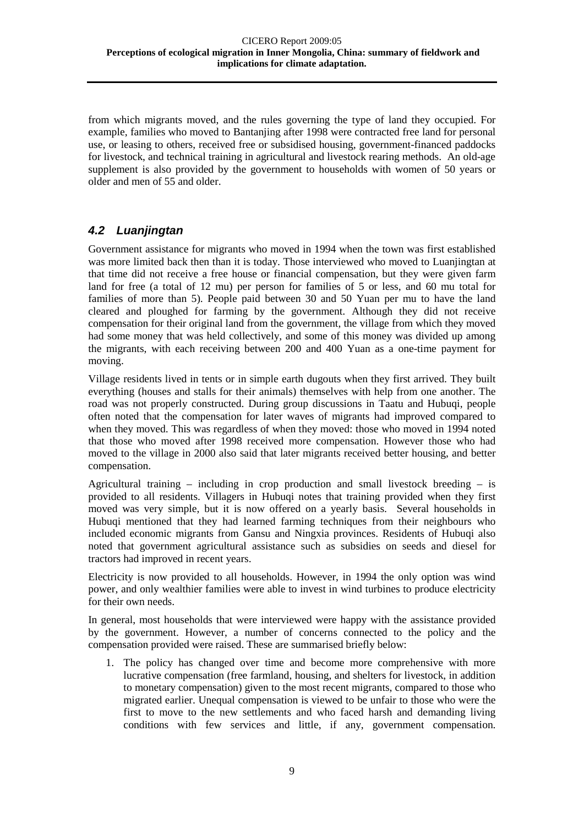from which migrants moved, and the rules governing the type of land they occupied. For example, families who moved to Bantanjing after 1998 were contracted free land for personal use, or leasing to others, received free or subsidised housing, government-financed paddocks for livestock, and technical training in agricultural and livestock rearing methods. An old-age supplement is also provided by the government to households with women of 50 years or older and men of 55 and older.

#### <span id="page-12-0"></span>*4.2 Luanjingtan*

Government assistance for migrants who moved in 1994 when the town was first established was more limited back then than it is today. Those interviewed who moved to Luanjingtan at that time did not receive a free house or financial compensation, but they were given farm land for free (a total of 12 mu) per person for families of 5 or less, and 60 mu total for families of more than 5). People paid between 30 and 50 Yuan per mu to have the land cleared and ploughed for farming by the government. Although they did not receive compensation for their original land from the government, the village from which they moved had some money that was held collectively, and some of this money was divided up among the migrants, with each receiving between 200 and 400 Yuan as a one-time payment for moving.

Village residents lived in tents or in simple earth dugouts when they first arrived. They built everything (houses and stalls for their animals) themselves with help from one another. The road was not properly constructed. During group discussions in Taatu and Hubuqi, people often noted that the compensation for later waves of migrants had improved compared to when they moved. This was regardless of when they moved: those who moved in 1994 noted that those who moved after 1998 received more compensation. However those who had moved to the village in 2000 also said that later migrants received better housing, and better compensation.

Agricultural training – including in crop production and small livestock breeding – is provided to all residents. Villagers in Hubuqi notes that training provided when they first moved was very simple, but it is now offered on a yearly basis. Several households in Hubuqi mentioned that they had learned farming techniques from their neighbours who included economic migrants from Gansu and Ningxia provinces. Residents of Hubuqi also noted that government agricultural assistance such as subsidies on seeds and diesel for tractors had improved in recent years.

Electricity is now provided to all households. However, in 1994 the only option was wind power, and only wealthier families were able to invest in wind turbines to produce electricity for their own needs.

In general, most households that were interviewed were happy with the assistance provided by the government. However, a number of concerns connected to the policy and the compensation provided were raised. These are summarised briefly below:

1. The policy has changed over time and become more comprehensive with more lucrative compensation (free farmland, housing, and shelters for livestock, in addition to monetary compensation) given to the most recent migrants, compared to those who migrated earlier. Unequal compensation is viewed to be unfair to those who were the first to move to the new settlements and who faced harsh and demanding living conditions with few services and little, if any, government compensation.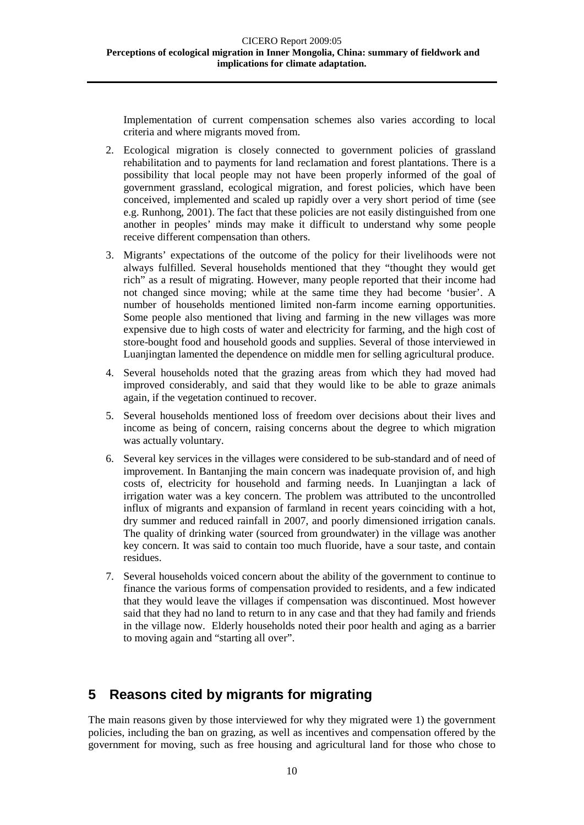Implementation of current compensation schemes also varies according to local criteria and where migrants moved from.

- 2. Ecological migration is closely connected to government policies of grassland rehabilitation and to payments for land reclamation and forest plantations. There is a possibility that local people may not have been properly informed of the goal of government grassland, ecological migration, and forest policies, which have been conceived, implemented and scaled up rapidly over a very short period of time (see e.g. Runhong, 2001). The fact that these policies are not easily distinguished from one another in peoples' minds may make it difficult to understand why some people receive different compensation than others.
- 3. Migrants' expectations of the outcome of the policy for their livelihoods were not always fulfilled. Several households mentioned that they "thought they would get rich" as a result of migrating. However, many people reported that their income had not changed since moving; while at the same time they had become 'busier'. A number of households mentioned limited non-farm income earning opportunities. Some people also mentioned that living and farming in the new villages was more expensive due to high costs of water and electricity for farming, and the high cost of store-bought food and household goods and supplies. Several of those interviewed in Luanjingtan lamented the dependence on middle men for selling agricultural produce.
- 4. Several households noted that the grazing areas from which they had moved had improved considerably, and said that they would like to be able to graze animals again, if the vegetation continued to recover.
- 5. Several households mentioned loss of freedom over decisions about their lives and income as being of concern, raising concerns about the degree to which migration was actually voluntary.
- 6. Several key services in the villages were considered to be sub-standard and of need of improvement. In Bantanjing the main concern was inadequate provision of, and high costs of, electricity for household and farming needs. In Luanjingtan a lack of irrigation water was a key concern. The problem was attributed to the uncontrolled influx of migrants and expansion of farmland in recent years coinciding with a hot, dry summer and reduced rainfall in 2007, and poorly dimensioned irrigation canals. The quality of drinking water (sourced from groundwater) in the village was another key concern. It was said to contain too much fluoride, have a sour taste, and contain residues.
- 7. Several households voiced concern about the ability of the government to continue to finance the various forms of compensation provided to residents, and a few indicated that they would leave the villages if compensation was discontinued. Most however said that they had no land to return to in any case and that they had family and friends in the village now. Elderly households noted their poor health and aging as a barrier to moving again and "starting all over".

# <span id="page-13-0"></span>**5 Reasons cited by migrants for migrating**

The main reasons given by those interviewed for why they migrated were 1) the government policies, including the ban on grazing, as well as incentives and compensation offered by the government for moving, such as free housing and agricultural land for those who chose to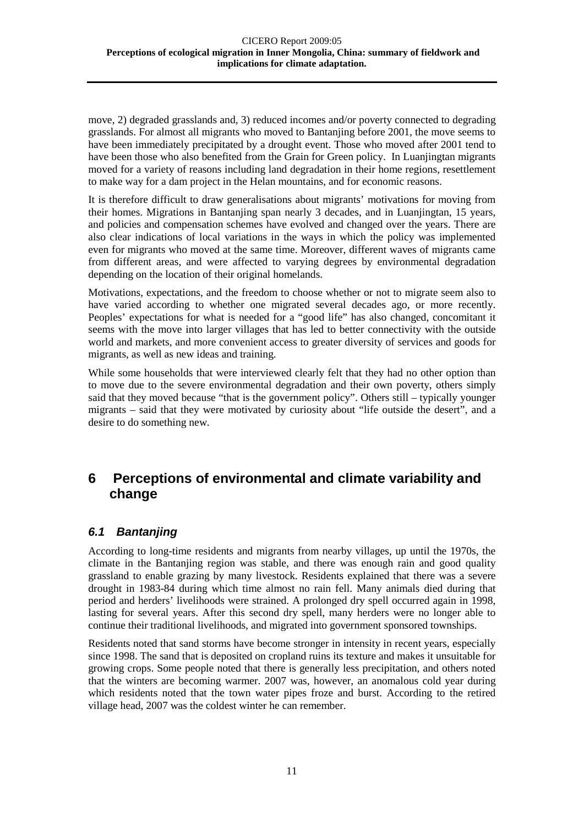move, 2) degraded grasslands and, 3) reduced incomes and/or poverty connected to degrading grasslands. For almost all migrants who moved to Bantanjing before 2001, the move seems to have been immediately precipitated by a drought event. Those who moved after 2001 tend to have been those who also benefited from the Grain for Green policy. In Luanjingtan migrants moved for a variety of reasons including land degradation in their home regions, resettlement to make way for a dam project in the Helan mountains, and for economic reasons.

It is therefore difficult to draw generalisations about migrants' motivations for moving from their homes. Migrations in Bantanjing span nearly 3 decades, and in Luanjingtan, 15 years, and policies and compensation schemes have evolved and changed over the years. There are also clear indications of local variations in the ways in which the policy was implemented even for migrants who moved at the same time. Moreover, different waves of migrants came from different areas, and were affected to varying degrees by environmental degradation depending on the location of their original homelands.

Motivations, expectations, and the freedom to choose whether or not to migrate seem also to have varied according to whether one migrated several decades ago, or more recently. Peoples' expectations for what is needed for a "good life" has also changed, concomitant it seems with the move into larger villages that has led to better connectivity with the outside world and markets, and more convenient access to greater diversity of services and goods for migrants, as well as new ideas and training.

While some households that were interviewed clearly felt that they had no other option than to move due to the severe environmental degradation and their own poverty, others simply said that they moved because "that is the government policy". Others still – typically younger migrants – said that they were motivated by curiosity about "life outside the desert", and a desire to do something new.

# <span id="page-14-0"></span>**6 Perceptions of environmental and climate variability and change**

#### <span id="page-14-1"></span>*6.1 Bantanjing*

According to long-time residents and migrants from nearby villages, up until the 1970s, the climate in the Bantanjing region was stable, and there was enough rain and good quality grassland to enable grazing by many livestock. Residents explained that there was a severe drought in 1983-84 during which time almost no rain fell. Many animals died during that period and herders' livelihoods were strained. A prolonged dry spell occurred again in 1998, lasting for several years. After this second dry spell, many herders were no longer able to continue their traditional livelihoods, and migrated into government sponsored townships.

Residents noted that sand storms have become stronger in intensity in recent years, especially since 1998. The sand that is deposited on cropland ruins its texture and makes it unsuitable for growing crops. Some people noted that there is generally less precipitation, and others noted that the winters are becoming warmer. 2007 was, however, an anomalous cold year during which residents noted that the town water pipes froze and burst. According to the retired village head, 2007 was the coldest winter he can remember.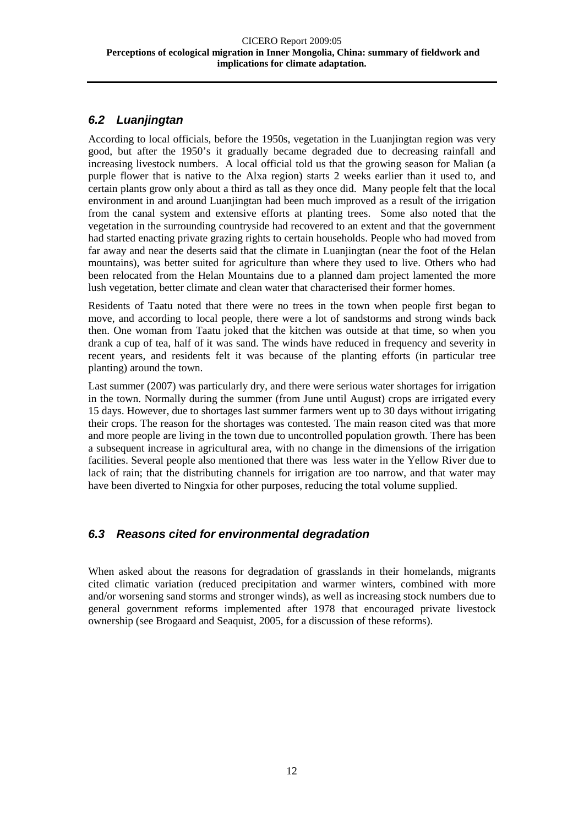#### <span id="page-15-0"></span>*6.2 Luanjingtan*

According to local officials, before the 1950s, vegetation in the Luanjingtan region was very good, but after the 1950's it gradually became degraded due to decreasing rainfall and increasing livestock numbers. A local official told us that the growing season for Malian (a purple flower that is native to the Alxa region) starts 2 weeks earlier than it used to, and certain plants grow only about a third as tall as they once did. Many people felt that the local environment in and around Luanjingtan had been much improved as a result of the irrigation from the canal system and extensive efforts at planting trees. Some also noted that the vegetation in the surrounding countryside had recovered to an extent and that the government had started enacting private grazing rights to certain households. People who had moved from far away and near the deserts said that the climate in Luanjingtan (near the foot of the Helan mountains), was better suited for agriculture than where they used to live. Others who had been relocated from the Helan Mountains due to a planned dam project lamented the more lush vegetation, better climate and clean water that characterised their former homes.

Residents of Taatu noted that there were no trees in the town when people first began to move, and according to local people, there were a lot of sandstorms and strong winds back then. One woman from Taatu joked that the kitchen was outside at that time, so when you drank a cup of tea, half of it was sand. The winds have reduced in frequency and severity in recent years, and residents felt it was because of the planting efforts (in particular tree planting) around the town.

Last summer (2007) was particularly dry, and there were serious water shortages for irrigation in the town. Normally during the summer (from June until August) crops are irrigated every 15 days. However, due to shortages last summer farmers went up to 30 days without irrigating their crops. The reason for the shortages was contested. The main reason cited was that more and more people are living in the town due to uncontrolled population growth. There has been a subsequent increase in agricultural area, with no change in the dimensions of the irrigation facilities. Several people also mentioned that there was less water in the Yellow River due to lack of rain; that the distributing channels for irrigation are too narrow, and that water may have been diverted to Ningxia for other purposes, reducing the total volume supplied.

#### <span id="page-15-1"></span>*6.3 Reasons cited for environmental degradation*

When asked about the reasons for degradation of grasslands in their homelands, migrants cited climatic variation (reduced precipitation and warmer winters, combined with more and/or worsening sand storms and stronger winds), as well as increasing stock numbers due to general government reforms implemented after 1978 that encouraged private livestock ownership (see Brogaard and Seaquist, 2005, for a discussion of these reforms).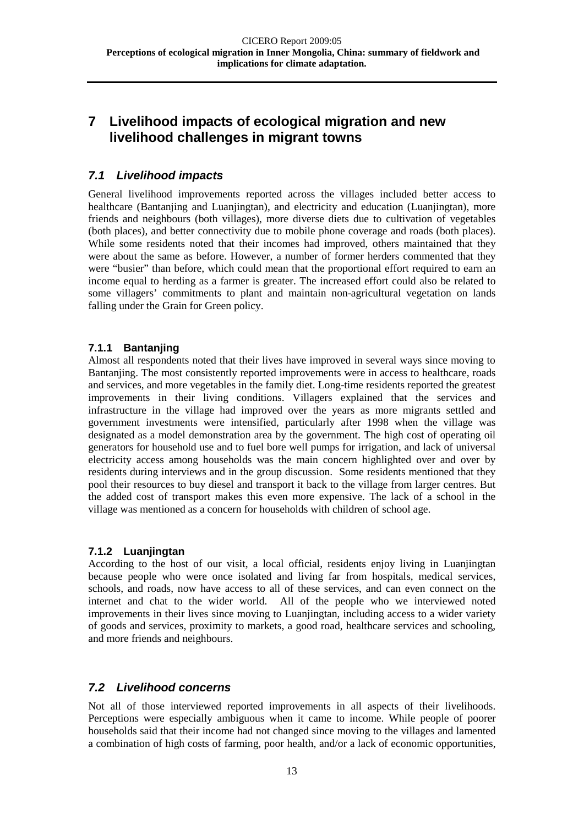# <span id="page-16-0"></span>**7 Livelihood impacts of ecological migration and new livelihood challenges in migrant towns**

#### <span id="page-16-1"></span>*7.1 Livelihood impacts*

General livelihood improvements reported across the villages included better access to healthcare (Bantanjing and Luanjingtan), and electricity and education (Luanjingtan), more friends and neighbours (both villages), more diverse diets due to cultivation of vegetables (both places), and better connectivity due to mobile phone coverage and roads (both places). While some residents noted that their incomes had improved, others maintained that they were about the same as before. However, a number of former herders commented that they were "busier" than before, which could mean that the proportional effort required to earn an income equal to herding as a farmer is greater. The increased effort could also be related to some villagers' commitments to plant and maintain non-agricultural vegetation on lands falling under the Grain for Green policy.

#### <span id="page-16-2"></span>**7.1.1 Bantanjing**

Almost all respondents noted that their lives have improved in several ways since moving to Bantanjing. The most consistently reported improvements were in access to healthcare, roads and services, and more vegetables in the family diet. Long-time residents reported the greatest improvements in their living conditions. Villagers explained that the services and infrastructure in the village had improved over the years as more migrants settled and government investments were intensified, particularly after 1998 when the village was designated as a model demonstration area by the government. The high cost of operating oil generators for household use and to fuel bore well pumps for irrigation, and lack of universal electricity access among households was the main concern highlighted over and over by residents during interviews and in the group discussion. Some residents mentioned that they pool their resources to buy diesel and transport it back to the village from larger centres. But the added cost of transport makes this even more expensive. The lack of a school in the village was mentioned as a concern for households with children of school age.

#### <span id="page-16-3"></span>**7.1.2 Luanjingtan**

According to the host of our visit, a local official, residents enjoy living in Luanjingtan because people who were once isolated and living far from hospitals, medical services, schools, and roads, now have access to all of these services, and can even connect on the internet and chat to the wider world. All of the people who we interviewed noted improvements in their lives since moving to Luanjingtan, including access to a wider variety of goods and services, proximity to markets, a good road, healthcare services and schooling, and more friends and neighbours.

#### <span id="page-16-4"></span>*7.2 Livelihood concerns*

Not all of those interviewed reported improvements in all aspects of their livelihoods. Perceptions were especially ambiguous when it came to income. While people of poorer households said that their income had not changed since moving to the villages and lamented a combination of high costs of farming, poor health, and/or a lack of economic opportunities,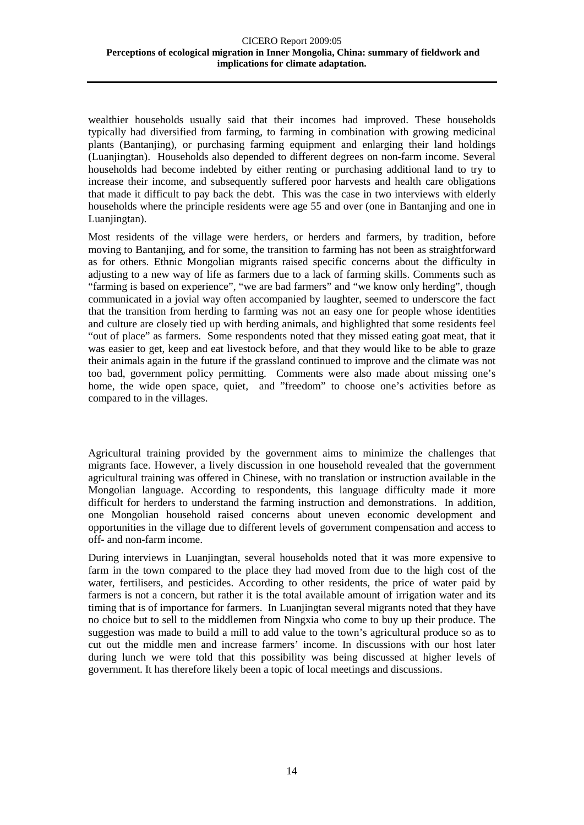wealthier households usually said that their incomes had improved. These households typically had diversified from farming, to farming in combination with growing medicinal plants (Bantanjing), or purchasing farming equipment and enlarging their land holdings (Luanjingtan). Households also depended to different degrees on non-farm income. Several households had become indebted by either renting or purchasing additional land to try to increase their income, and subsequently suffered poor harvests and health care obligations that made it difficult to pay back the debt. This was the case in two interviews with elderly households where the principle residents were age 55 and over (one in Bantanjing and one in Luanjingtan).

Most residents of the village were herders, or herders and farmers, by tradition, before moving to Bantanjing, and for some, the transition to farming has not been as straightforward as for others. Ethnic Mongolian migrants raised specific concerns about the difficulty in adjusting to a new way of life as farmers due to a lack of farming skills. Comments such as "farming is based on experience", "we are bad farmers" and "we know only herding", though communicated in a jovial way often accompanied by laughter, seemed to underscore the fact that the transition from herding to farming was not an easy one for people whose identities and culture are closely tied up with herding animals, and highlighted that some residents feel "out of place" as farmers. Some respondents noted that they missed eating goat meat, that it was easier to get, keep and eat livestock before, and that they would like to be able to graze their animals again in the future if the grassland continued to improve and the climate was not too bad, government policy permitting. Comments were also made about missing one's home, the wide open space, quiet, and "freedom" to choose one's activities before as compared to in the villages.

Agricultural training provided by the government aims to minimize the challenges that migrants face. However, a lively discussion in one household revealed that the government agricultural training was offered in Chinese, with no translation or instruction available in the Mongolian language. According to respondents, this language difficulty made it more difficult for herders to understand the farming instruction and demonstrations. In addition, one Mongolian household raised concerns about uneven economic development and opportunities in the village due to different levels of government compensation and access to off- and non-farm income.

During interviews in Luanjingtan, several households noted that it was more expensive to farm in the town compared to the place they had moved from due to the high cost of the water, fertilisers, and pesticides. According to other residents, the price of water paid by farmers is not a concern, but rather it is the total available amount of irrigation water and its timing that is of importance for farmers. In Luanjingtan several migrants noted that they have no choice but to sell to the middlemen from Ningxia who come to buy up their produce. The suggestion was made to build a mill to add value to the town's agricultural produce so as to cut out the middle men and increase farmers' income. In discussions with our host later during lunch we were told that this possibility was being discussed at higher levels of government. It has therefore likely been a topic of local meetings and discussions.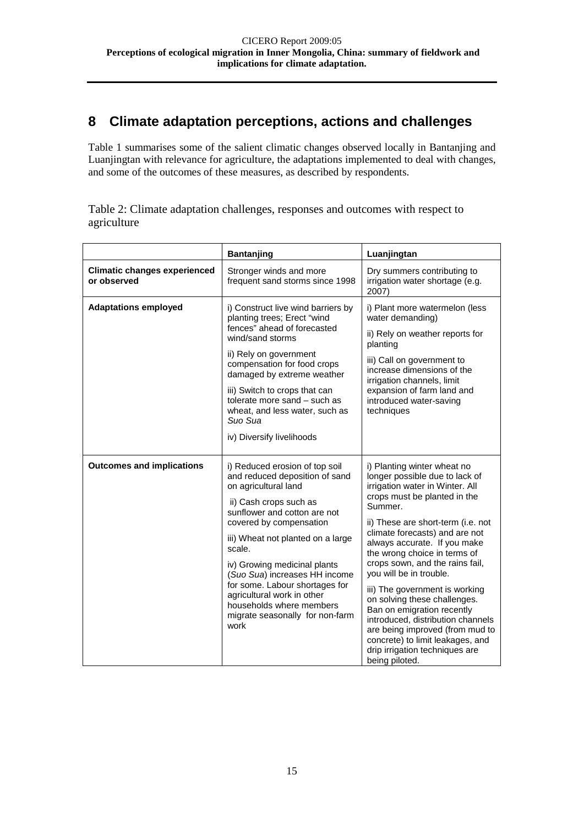# <span id="page-18-0"></span>**8 Climate adaptation perceptions, actions and challenges**

Table 1 summarises some of the salient climatic changes observed locally in Bantanjing and Luanjingtan with relevance for agriculture, the adaptations implemented to deal with changes, and some of the outcomes of these measures, as described by respondents.

Table 2: Climate adaptation challenges, responses and outcomes with respect to agriculture

|                                                    | Bantanjing                                                                                                                                                                                                                                                                                                                                                                                                                           | Luanjingtan                                                                                                                                                                                                                                                                                                                                                                                                                                                                                                                                                                                                       |  |
|----------------------------------------------------|--------------------------------------------------------------------------------------------------------------------------------------------------------------------------------------------------------------------------------------------------------------------------------------------------------------------------------------------------------------------------------------------------------------------------------------|-------------------------------------------------------------------------------------------------------------------------------------------------------------------------------------------------------------------------------------------------------------------------------------------------------------------------------------------------------------------------------------------------------------------------------------------------------------------------------------------------------------------------------------------------------------------------------------------------------------------|--|
| <b>Climatic changes experienced</b><br>or observed | Stronger winds and more<br>frequent sand storms since 1998                                                                                                                                                                                                                                                                                                                                                                           | Dry summers contributing to<br>irrigation water shortage (e.g.<br>2007)                                                                                                                                                                                                                                                                                                                                                                                                                                                                                                                                           |  |
| <b>Adaptations employed</b>                        | i) Construct live wind barriers by<br>planting trees; Erect "wind<br>fences" ahead of forecasted<br>wind/sand storms<br>ii) Rely on government<br>compensation for food crops<br>damaged by extreme weather<br>iii) Switch to crops that can<br>tolerate more sand - such as<br>wheat, and less water, such as<br>Suo Sua<br>iv) Diversify livelihoods                                                                               | i) Plant more watermelon (less<br>water demanding)<br>ii) Rely on weather reports for<br>planting<br>iii) Call on government to<br>increase dimensions of the<br>irrigation channels, limit<br>expansion of farm land and<br>introduced water-saving<br>techniques                                                                                                                                                                                                                                                                                                                                                |  |
| <b>Outcomes and implications</b>                   | i) Reduced erosion of top soil<br>and reduced deposition of sand<br>on agricultural land<br>ii) Cash crops such as<br>sunflower and cotton are not<br>covered by compensation<br>iii) Wheat not planted on a large<br>scale.<br>iv) Growing medicinal plants<br>(Suo Sua) increases HH income<br>for some. Labour shortages for<br>agricultural work in other<br>households where members<br>migrate seasonally for non-farm<br>work | i) Planting winter wheat no<br>longer possible due to lack of<br>irrigation water in Winter. All<br>crops must be planted in the<br>Summer.<br>ii) These are short-term (i.e. not<br>climate forecasts) and are not<br>always accurate. If you make<br>the wrong choice in terms of<br>crops sown, and the rains fail,<br>you will be in trouble.<br>iii) The government is working<br>on solving these challenges.<br>Ban on emigration recently<br>introduced, distribution channels<br>are being improved (from mud to<br>concrete) to limit leakages, and<br>drip irrigation techniques are<br>being piloted. |  |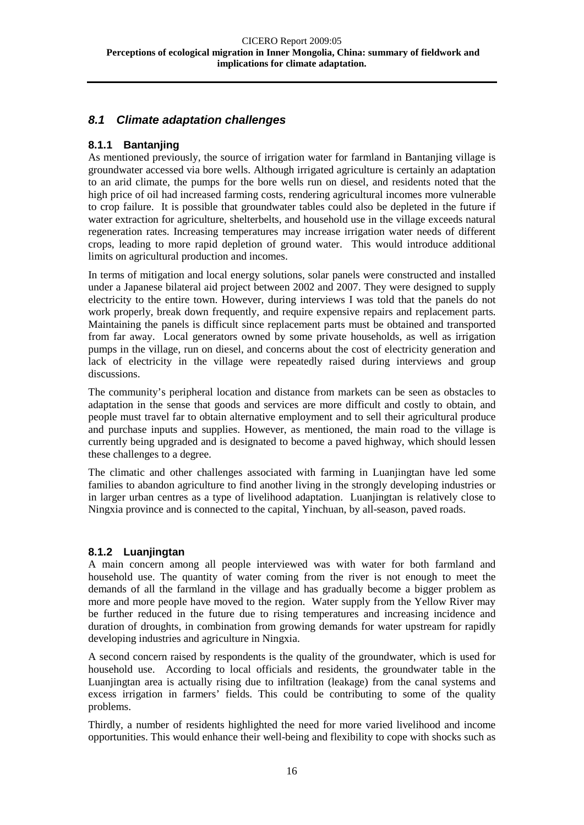#### <span id="page-19-0"></span>*8.1 Climate adaptation challenges*

#### <span id="page-19-1"></span>**8.1.1 Bantanjing**

As mentioned previously, the source of irrigation water for farmland in Bantanjing village is groundwater accessed via bore wells. Although irrigated agriculture is certainly an adaptation to an arid climate, the pumps for the bore wells run on diesel, and residents noted that the high price of oil had increased farming costs, rendering agricultural incomes more vulnerable to crop failure. It is possible that groundwater tables could also be depleted in the future if water extraction for agriculture, shelterbelts, and household use in the village exceeds natural regeneration rates. Increasing temperatures may increase irrigation water needs of different crops, leading to more rapid depletion of ground water. This would introduce additional limits on agricultural production and incomes.

In terms of mitigation and local energy solutions, solar panels were constructed and installed under a Japanese bilateral aid project between 2002 and 2007. They were designed to supply electricity to the entire town. However, during interviews I was told that the panels do not work properly, break down frequently, and require expensive repairs and replacement parts. Maintaining the panels is difficult since replacement parts must be obtained and transported from far away. Local generators owned by some private households, as well as irrigation pumps in the village, run on diesel, and concerns about the cost of electricity generation and lack of electricity in the village were repeatedly raised during interviews and group discussions.

The community's peripheral location and distance from markets can be seen as obstacles to adaptation in the sense that goods and services are more difficult and costly to obtain, and people must travel far to obtain alternative employment and to sell their agricultural produce and purchase inputs and supplies. However, as mentioned, the main road to the village is currently being upgraded and is designated to become a paved highway, which should lessen these challenges to a degree.

The climatic and other challenges associated with farming in Luanjingtan have led some families to abandon agriculture to find another living in the strongly developing industries or in larger urban centres as a type of livelihood adaptation. Luanjingtan is relatively close to Ningxia province and is connected to the capital, Yinchuan, by all-season, paved roads.

#### <span id="page-19-2"></span>**8.1.2 Luanjingtan**

A main concern among all people interviewed was with water for both farmland and household use. The quantity of water coming from the river is not enough to meet the demands of all the farmland in the village and has gradually become a bigger problem as more and more people have moved to the region. Water supply from the Yellow River may be further reduced in the future due to rising temperatures and increasing incidence and duration of droughts, in combination from growing demands for water upstream for rapidly developing industries and agriculture in Ningxia.

A second concern raised by respondents is the quality of the groundwater, which is used for household use. According to local officials and residents, the groundwater table in the Luanjingtan area is actually rising due to infiltration (leakage) from the canal systems and excess irrigation in farmers' fields. This could be contributing to some of the quality problems.

Thirdly, a number of residents highlighted the need for more varied livelihood and income opportunities. This would enhance their well-being and flexibility to cope with shocks such as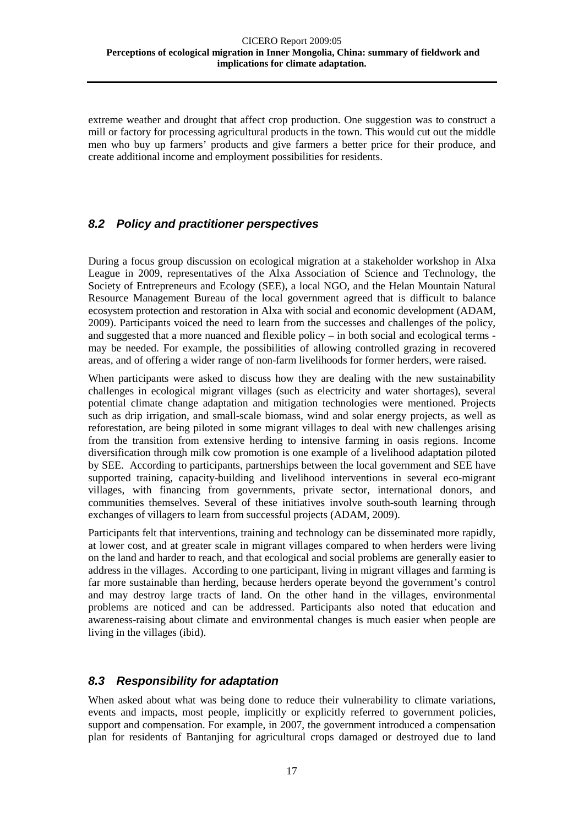extreme weather and drought that affect crop production. One suggestion was to construct a mill or factory for processing agricultural products in the town. This would cut out the middle men who buy up farmers' products and give farmers a better price for their produce, and create additional income and employment possibilities for residents.

#### <span id="page-20-0"></span>*8.2 Policy and practitioner perspectives*

During a focus group discussion on ecological migration at a stakeholder workshop in Alxa League in 2009, representatives of the Alxa Association of Science and Technology, the Society of Entrepreneurs and Ecology (SEE), a local NGO, and the Helan Mountain Natural Resource Management Bureau of the local government agreed that is difficult to balance ecosystem protection and restoration in Alxa with social and economic development (ADAM, 2009). Participants voiced the need to learn from the successes and challenges of the policy, and suggested that a more nuanced and flexible policy – in both social and ecological terms may be needed. For example, the possibilities of allowing controlled grazing in recovered areas, and of offering a wider range of non-farm livelihoods for former herders, were raised.

When participants were asked to discuss how they are dealing with the new sustainability challenges in ecological migrant villages (such as electricity and water shortages), several potential climate change adaptation and mitigation technologies were mentioned. Projects such as drip irrigation, and small-scale biomass, wind and solar energy projects, as well as reforestation, are being piloted in some migrant villages to deal with new challenges arising from the transition from extensive herding to intensive farming in oasis regions. Income diversification through milk cow promotion is one example of a livelihood adaptation piloted by SEE. According to participants, partnerships between the local government and SEE have supported training, capacity-building and livelihood interventions in several eco-migrant villages, with financing from governments, private sector, international donors, and communities themselves. Several of these initiatives involve south-south learning through exchanges of villagers to learn from successful projects (ADAM, 2009).

Participants felt that interventions, training and technology can be disseminated more rapidly, at lower cost, and at greater scale in migrant villages compared to when herders were living on the land and harder to reach, and that ecological and social problems are generally easier to address in the villages. According to one participant, living in migrant villages and farming is far more sustainable than herding, because herders operate beyond the government's control and may destroy large tracts of land. On the other hand in the villages, environmental problems are noticed and can be addressed. Participants also noted that education and awareness-raising about climate and environmental changes is much easier when people are living in the villages (ibid).

#### <span id="page-20-1"></span>*8.3 Responsibility for adaptation*

When asked about what was being done to reduce their vulnerability to climate variations, events and impacts, most people, implicitly or explicitly referred to government policies, support and compensation. For example, in 2007, the government introduced a compensation plan for residents of Bantanjing for agricultural crops damaged or destroyed due to land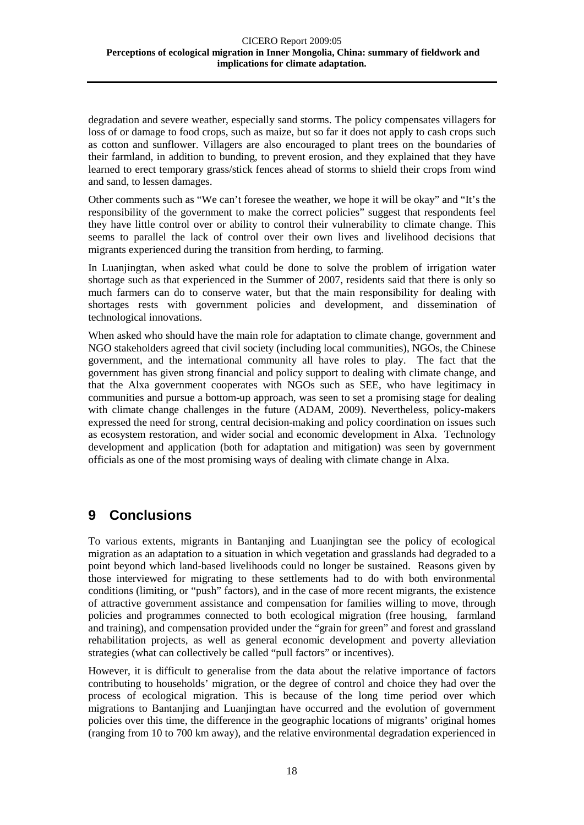degradation and severe weather, especially sand storms. The policy compensates villagers for loss of or damage to food crops, such as maize, but so far it does not apply to cash crops such as cotton and sunflower. Villagers are also encouraged to plant trees on the boundaries of their farmland, in addition to bunding, to prevent erosion, and they explained that they have learned to erect temporary grass/stick fences ahead of storms to shield their crops from wind and sand, to lessen damages.

Other comments such as "We can't foresee the weather, we hope it will be okay" and "It's the responsibility of the government to make the correct policies" suggest that respondents feel they have little control over or ability to control their vulnerability to climate change. This seems to parallel the lack of control over their own lives and livelihood decisions that migrants experienced during the transition from herding, to farming.

In Luanjingtan, when asked what could be done to solve the problem of irrigation water shortage such as that experienced in the Summer of 2007, residents said that there is only so much farmers can do to conserve water, but that the main responsibility for dealing with shortages rests with government policies and development, and dissemination of technological innovations.

When asked who should have the main role for adaptation to climate change, government and NGO stakeholders agreed that civil society (including local communities), NGOs, the Chinese government, and the international community all have roles to play. The fact that the government has given strong financial and policy support to dealing with climate change, and that the Alxa government cooperates with NGOs such as SEE, who have legitimacy in communities and pursue a bottom-up approach, was seen to set a promising stage for dealing with climate change challenges in the future (ADAM, 2009). Nevertheless, policy-makers expressed the need for strong, central decision-making and policy coordination on issues such as ecosystem restoration, and wider social and economic development in Alxa. Technology development and application (both for adaptation and mitigation) was seen by government officials as one of the most promising ways of dealing with climate change in Alxa.

# <span id="page-21-0"></span>**9 Conclusions**

To various extents, migrants in Bantanjing and Luanjingtan see the policy of ecological migration as an adaptation to a situation in which vegetation and grasslands had degraded to a point beyond which land-based livelihoods could no longer be sustained. Reasons given by those interviewed for migrating to these settlements had to do with both environmental conditions (limiting, or "push" factors), and in the case of more recent migrants, the existence of attractive government assistance and compensation for families willing to move, through policies and programmes connected to both ecological migration (free housing, farmland and training), and compensation provided under the "grain for green" and forest and grassland rehabilitation projects, as well as general economic development and poverty alleviation strategies (what can collectively be called "pull factors" or incentives).

However, it is difficult to generalise from the data about the relative importance of factors contributing to households' migration, or the degree of control and choice they had over the process of ecological migration. This is because of the long time period over which migrations to Bantanjing and Luanjingtan have occurred and the evolution of government policies over this time, the difference in the geographic locations of migrants' original homes (ranging from 10 to 700 km away), and the relative environmental degradation experienced in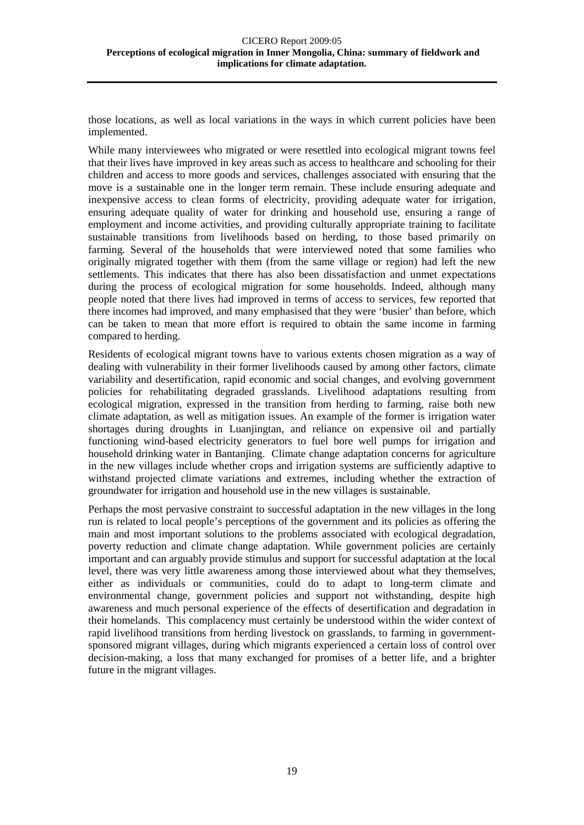those locations, as well as local variations in the ways in which current policies have been implemented.

While many interviewees who migrated or were resettled into ecological migrant towns feel that their lives have improved in key areas such as access to healthcare and schooling for their children and access to more goods and services, challenges associated with ensuring that the move is a sustainable one in the longer term remain. These include ensuring adequate and inexpensive access to clean forms of electricity, providing adequate water for irrigation, ensuring adequate quality of water for drinking and household use, ensuring a range of employment and income activities, and providing culturally appropriate training to facilitate sustainable transitions from livelihoods based on herding, to those based primarily on farming. Several of the households that were interviewed noted that some families who originally migrated together with them (from the same village or region) had left the new settlements. This indicates that there has also been dissatisfaction and unmet expectations during the process of ecological migration for some households. Indeed, although many people noted that there lives had improved in terms of access to services, few reported that there incomes had improved, and many emphasised that they were 'busier' than before, which can be taken to mean that more effort is required to obtain the same income in farming compared to herding.

Residents of ecological migrant towns have to various extents chosen migration as a way of dealing with vulnerability in their former livelihoods caused by among other factors, climate variability and desertification, rapid economic and social changes, and evolving government policies for rehabilitating degraded grasslands. Livelihood adaptations resulting from ecological migration, expressed in the transition from herding to farming, raise both new climate adaptation, as well as mitigation issues. An example of the former is irrigation water shortages during droughts in Luanjingtan, and reliance on expensive oil and partially functioning wind-based electricity generators to fuel bore well pumps for irrigation and household drinking water in Bantanjing. Climate change adaptation concerns for agriculture in the new villages include whether crops and irrigation systems are sufficiently adaptive to withstand projected climate variations and extremes, including whether the extraction of groundwater for irrigation and household use in the new villages is sustainable.

Perhaps the most pervasive constraint to successful adaptation in the new villages in the long run is related to local people's perceptions of the government and its policies as offering the main and most important solutions to the problems associated with ecological degradation, poverty reduction and climate change adaptation. While government policies are certainly important and can arguably provide stimulus and support for successful adaptation at the local level, there was very little awareness among those interviewed about what they themselves, either as individuals or communities, could do to adapt to long-term climate and environmental change, government policies and support not withstanding, despite high awareness and much personal experience of the effects of desertification and degradation in their homelands. This complacency must certainly be understood within the wider context of rapid livelihood transitions from herding livestock on grasslands, to farming in governmentsponsored migrant villages, during which migrants experienced a certain loss of control over decision-making, a loss that many exchanged for promises of a better life, and a brighter future in the migrant villages.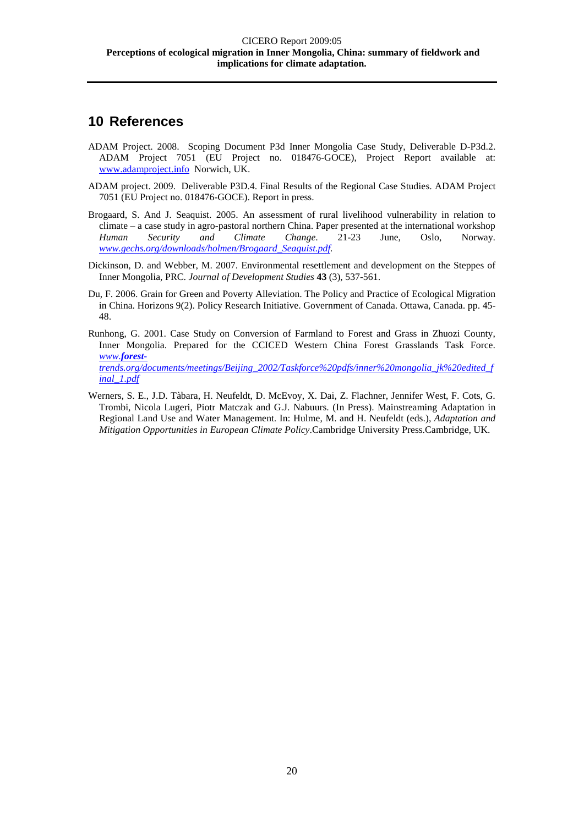# <span id="page-23-0"></span>**10 References**

- ADAM Project. 2008. Scoping Document P3d Inner Mongolia Case Study, Deliverable D-P3d.2. ADAM Project 7051 (EU Project no. 018476-GOCE), Project Report available at: [www.adamproject.info](http://www.adamproject.info/) Norwich, UK.
- ADAM project. 2009. Deliverable P3D.4. Final Results of the Regional Case Studies. ADAM Project 7051 (EU Project no. 018476-GOCE). Report in press.
- Brogaard, S. And J. Seaquist. 2005. An assessment of rural livelihood vulnerability in relation to climate – a case study in agro-pastoral northern China. Paper presented at the international workshop *Human Security and Climate Change*. 21-23 June, Oslo, Norway. *[www.gechs.org/downloads/holmen/Brogaard\\_Seaquist.pdf.](http://www.gechs.org/downloads/holmen/Brogaard_Seaquist.pdf)*
- Dickinson, D. and Webber, M. 2007. Environmental resettlement and development on the Steppes of Inner Mongolia, PRC. *Journal of Development Studies* **43** (3), 537-561.
- Du, F. 2006. Grain for Green and Poverty Alleviation. The Policy and Practice of Ecological Migration in China. Horizons 9(2). Policy Research Initiative. Government of Canada. Ottawa, Canada. pp. 45- 48.
- Runhong, G. 2001. Case Study on Conversion of Farmland to Forest and Grass in Zhuozi County, Inner Mongolia. Prepared for the CCICED Western China Forest Grasslands Task Force. *www.[forest](http://www.forest-trends.org/documents/meetings/Beijing_2002/Taskforce%20pdfs/inner%20mongolia_jk%20edited_final_1.pdf)[trends.org/documents/meetings/Beijing\\_2002/Taskforce%20pdfs/inner%20mongolia\\_jk%20edited\\_f](http://www.forest-trends.org/documents/meetings/Beijing_2002/Taskforce%20pdfs/inner%20mongolia_jk%20edited_final_1.pdf) [inal\\_1.pdf](http://www.forest-trends.org/documents/meetings/Beijing_2002/Taskforce%20pdfs/inner%20mongolia_jk%20edited_final_1.pdf)*
- Werners, S. E., J.D. Tàbara, H. Neufeldt, D. McEvoy, X. Dai, Z. Flachner, Jennifer West, F. Cots, G. Trombi, Nicola Lugeri, Piotr Matczak and G.J. Nabuurs. (In Press). Mainstreaming Adaptation in Regional Land Use and Water Management. In: Hulme, M. and H. Neufeldt (eds.), *Adaptation and Mitigation Opportunities in European Climate Policy*.Cambridge University Press.Cambridge, UK.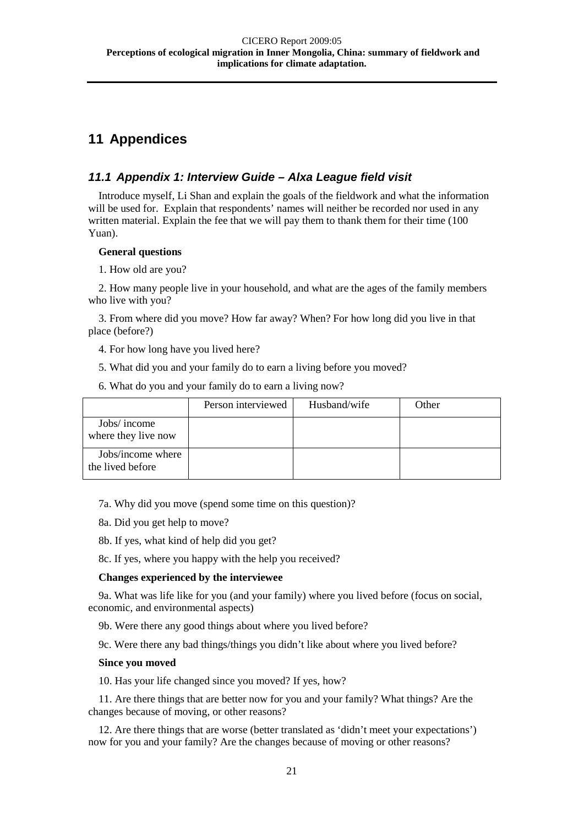# <span id="page-24-0"></span>**11 Appendices**

#### <span id="page-24-1"></span>*11.1 Appendix 1: Interview Guide – Alxa League field visit*

Introduce myself, Li Shan and explain the goals of the fieldwork and what the information will be used for. Explain that respondents' names will neither be recorded nor used in any written material. Explain the fee that we will pay them to thank them for their time (100 Yuan).

#### **General questions**

1. How old are you?

2. How many people live in your household, and what are the ages of the family members who live with you?

3. From where did you move? How far away? When? For how long did you live in that place (before?)

4. For how long have you lived here?

5. What did you and your family do to earn a living before you moved?

6. What do you and your family do to earn a living now?

|                                       | Person interviewed | Husband/wife | Other |
|---------------------------------------|--------------------|--------------|-------|
| Jobs/ income<br>where they live now   |                    |              |       |
| Jobs/income where<br>the lived before |                    |              |       |

7a. Why did you move (spend some time on this question)?

- 8a. Did you get help to move?
- 8b. If yes, what kind of help did you get?

8c. If yes, where you happy with the help you received?

#### **Changes experienced by the interviewee**

9a. What was life like for you (and your family) where you lived before (focus on social, economic, and environmental aspects)

9b. Were there any good things about where you lived before?

9c. Were there any bad things/things you didn't like about where you lived before?

#### **Since you moved**

10. Has your life changed since you moved? If yes, how?

11. Are there things that are better now for you and your family? What things? Are the changes because of moving, or other reasons?

12. Are there things that are worse (better translated as 'didn't meet your expectations') now for you and your family? Are the changes because of moving or other reasons?